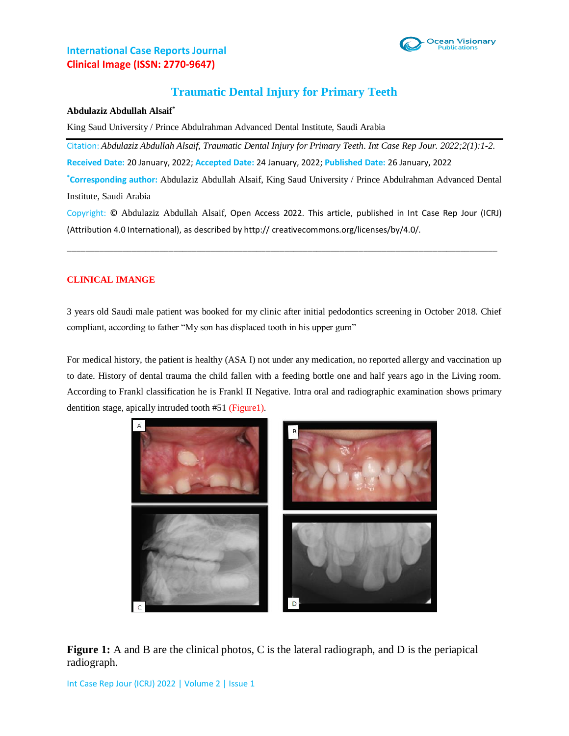

# **International Case Reports Journal Clinical Image (ISSN: 2770-9647)**

# **Traumatic Dental Injury for Primary Teeth**

#### **Abdulaziz Abdullah Alsaif\***

King Saud University / Prince Abdulrahman Advanced Dental Institute, Saudi Arabia

Citation: *Abdulaziz Abdullah Alsaif, Traumatic Dental Injury for Primary Teeth. Int Case Rep Jour. 2022;2(1):1-2.* **Received Date:** 20 January, 2022; **Accepted Date:** 24 January, 2022; **Published Date:** 26 January, 2022

**\*Corresponding author:** Abdulaziz Abdullah Alsaif, King Saud University / Prince Abdulrahman Advanced Dental Institute, Saudi Arabia

Copyright: © Abdulaziz Abdullah Alsaif, Open Access 2022. This article, published in Int Case Rep Jour (ICRJ) (Attribution 4.0 International), as described by http:// creativecommons.org/licenses/by/4.0/.

\_\_\_\_\_\_\_\_\_\_\_\_\_\_\_\_\_\_\_\_\_\_\_\_\_\_\_\_\_\_\_\_\_\_\_\_\_\_\_\_\_\_\_\_\_\_\_\_\_\_\_\_\_\_\_\_\_\_\_\_\_\_\_\_\_\_\_\_\_\_\_\_\_\_\_\_\_\_\_\_\_\_\_\_\_\_\_\_\_\_\_\_\_

### **CLINICAL IMANGE**

3 years old Saudi male patient was booked for my clinic after initial pedodontics screening in October 2018. Chief compliant, according to father "My son has displaced tooth in his upper gum"

For medical history, the patient is healthy (ASA I) not under any medication, no reported allergy and vaccination up to date. History of dental trauma the child fallen with a feeding bottle one and half years ago in the Living room. According to Frankl classification he is Frankl II Negative. Intra oral and radiographic examination shows primary dentition stage, apically intruded tooth #51 (Figure1).



**Figure 1:** A and B are the clinical photos, C is the lateral radiograph, and D is the periapical radiograph.